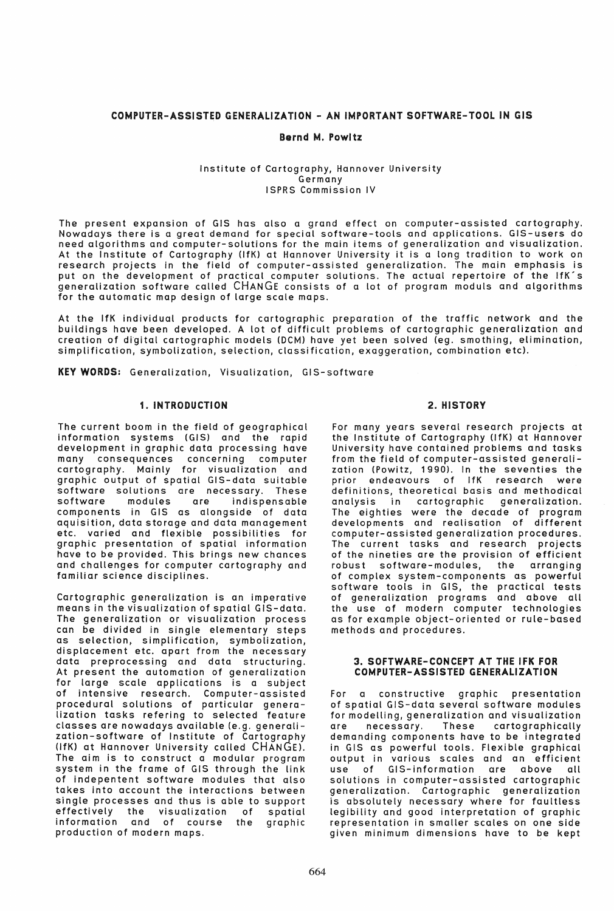# COMPUTER-ASSISTED GENERALIZATION - AN IMPORTANT SOFTWARE-TOOL IN GIS

## Bernd M. Powltz

### Institute of Cartography, Hannover University Germany ISPRS Commission IV

The present expansion of GIS has also a grand effect on computer-assisted cartography. Nowadays there is a great demand for special software-tools and applications. GIS-users do need algorithms and computer-solutions for the main items of generalization and visualization. At the Institute of Cartography (lfK) at Hannover University it is a long tradition to work on research projects in the field of computer-assisted generalization. The main emphasis is put on the development of practical computer solutions. The actual repertoire of the IfK's generalization software called CHANGE consists of a lot of program moduls and algorithms for the automatic map design of large scale maps.

At the IfK individual products for cartographic preparation of the traffic network and the buildings have been developed. A lot of difficult problems of cartographic generalization and creation of digital cartographic models (OCM) have yet been solved (eg. smothing, elimination, simplification, symbolization, selection, classification, exaggeration, combination etc).

KEY WORDS: Generalization, Visualization, GIS-software

## 1. INTRODUCTION

The current boom in the field of geographical information systems (GIS) and the rapid development in graphic data processing have many consequences concerning computer cartography. Mainly for visualization and graphic output of spatial GIS-data suitable software solutions are necessary. These software modules are indispensable components in GIS as alongside of data aquisition, data storage and data management etc. varied and flexible possibilities for graphic presentation of spatial information have to be provided. This brings new chances and challenges for computer cartography and familiar science disciplines.

Cartographic generalization is an imperative means in the visualization of spatial GIS-data. The generalization or visualization process can be divided in single elementary steps as selection, Simplification, symbolization, displacement etc. apart from the necessary data preprocessing and data structuring. At present the automation of generalization for large scale applications is a subject of intensive research. Computer-assisted procedural solutions of particular genera-.<br>lization tasks refering to selected feature classes are nowadays available (e.g. generalization-software of Institute of Cartography (lfK) at Hannover University called CHANGE), The aim is to construct a modular program system in the frame of GIS through the link of indepentent software modules that also takes into account the interactions between single processes and thus is able to support effectively the visualization of spatial information and of course the graphic production of modern maps.

## 2. HISTORY

For many years several research projects at the Institute of Cartography (lfK) at Hannover University have contained problems and tasks from the field of computer-assisted generalization (Powitz, 1990), In the seventies the prior endeavours of IfK research were definitions, theoretical basis and methodical analysis in cartographic generalization. The eighties were the decade of program developments and realisation of different computer-assisted generalization procedures. The current tasks and research projects of the nineties are the provision of efficient robust software-modules, the arranging of complex system-components as powerful software tools in GIS, the practical tests of generalization programs and above all the use of modern computer technologies as for example object-oriented or rule-based methods and procedures.

#### 3. SOfTWARE-CONCEPT AT THE IfK fOR COMPUTER-ASSISTED GENERALIZATION

For a constructive graphic presentation of spatial GIS-data several software modules for modelling, generalization and visualization are necessary. These cartographically demanding components have to be integrated in GIS as powerful tools. Flexible graphical output in various scales and an efficient use of GIS-information are above all solutions in computer-assisted cartographic generalization. Cartographic generalization is absolutely necessary where for faultless legibility and good interpretation of graphic representation in smaller scales on one side given minimum dimensions have to be kept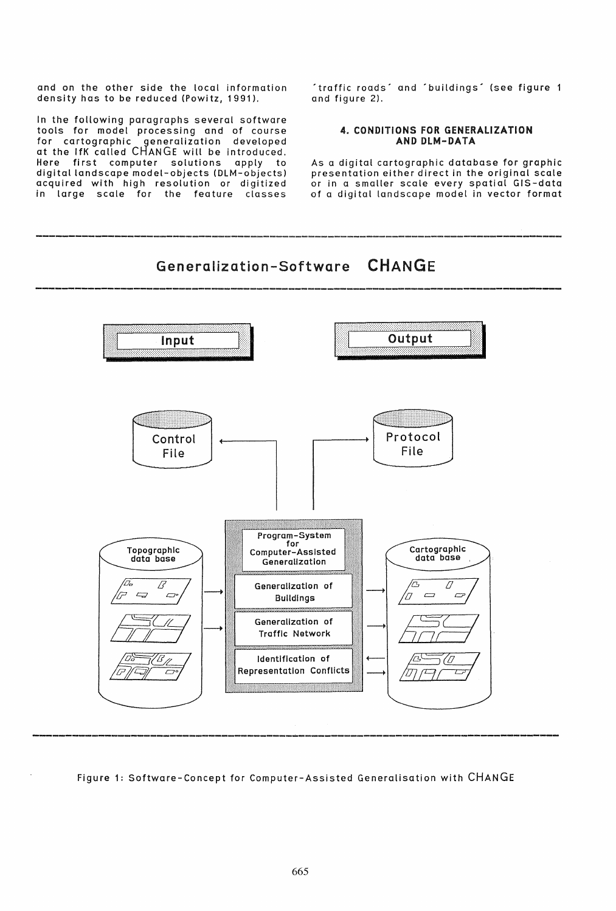and on the other side the local information density has to be reduced (Powitz, 1991).

In the following paragraphs several software tools for model processing and of course for cartographic .generalization developed at the IfK called CHANGE will be introduced. Here first computer solutions apply to digital landscape model-objects (OLM-objects) acquired with high resolution or digitized in large scale for the feature classes

'traffic roads' and 'buildings' (see figure 1 and figure 2).

## 4. CONDITIONS fOR GENERALIZATION AND DLM-DATA

As a digital cartographic database for graphic presentation either direct in the original scale or in a smaller scale every spatial GIS-data of a digital landscape model in vector format

# Generalization-Software CHANGE



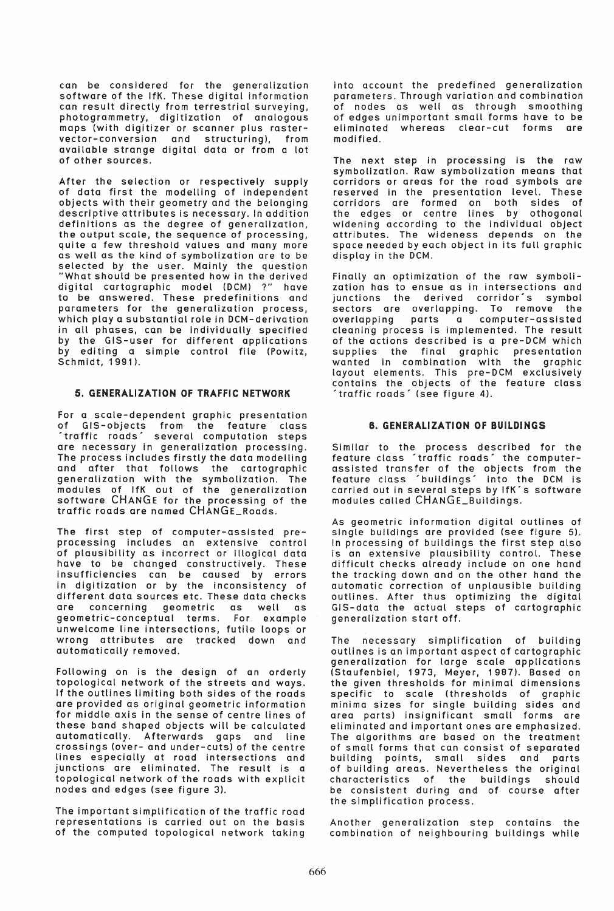can be considered for the generalization software of the IfK. These digital information can result directly from terrestrial surveying, photogrammetry, digitization of analogous maps (with digitizer or scanner plus rastervector-conversion and structuring), from available strange digital data or from a lot of other sources.

After the selection or respectively supply of data first the modelling of independent objects with their geometry and the belonging descriptive attributes is necessary. In addition definitions as the degree of generalization, the output scale, the sequence of processing, qUite a few threshold values and many more as well as the kind of symbolization are to be selected by the user. Mainly the question "What should be presented how in the derived digital cartographic model (DCM) ?" have to be answered. These predefinitions and parameters for the generalization process, which play a substantial role in DCM-derivation in all phases, can be individually specified by the GIS-user for different applications by editing a simple control file (Powitz, Schmidt, 1991),

# 5. GENERALIZATION Of TRAffiC NETWORK

For a scale-dependent graphic presentation<br>of GIS-objects from the feature class of GIS-objects from the feature class 'traffic roads' severa! computation steps are necessary in generalization processing. The process includes firstly the data modelling and after that follows the cartographic generalization with the symbolization. The modules of IfK out of the generalization software CHANGE for the processing of the traffic roads are named CHANGE\_Roads.

The first step of computer-assisted preprocessing includes an extensive control of plausibility as incorrect or illogical data have to be changed constructively. These insufficiencies can be caused by errors in digitization or by the inconsistency of different data sources etc. These data checks are concerning geometric as well as geometric-conceptual terms. For example unwelcome line intersections, futile loops or wrong attributes are tracked down and automatically removed.

Following on is the design of an orderly topological network of the streets and ways. If the outlines limiting both sides of the roads are provided as original geometric information for middle axis in the sense of centre lines of these band shaped objects will be calculated automatically. Afterwards gaps and line crossings (over- and under-cuts) of the centre lines especially at road intersections and junctions are eliminated. The result is a topological network of the roads with explicit nodes and edges (see figure 3).

The important simplification of the traffic road representations is carried out on the basis of the computed topological network taking into account the predefined generalization parameters. Through variation and combination of nodes as wei! as through smoothing of edges unimportant small forms have to be eliminated whereas clear-cut forms are modified.

The next step in processing is the raw symbolization. Raw symbolization means that corridors or areas for the road symbols are reserved in the presentation level. These corridors are formed on both sides of the edges or centre lines by othogonat widening according to the individual object attributes. The wideness depends on the space needed by each Object in its full graphic display in the DCM.

Finally an optimization of the raw symbolization has to ensue as in intersections and junctions the derived corridor's symbol sectors are overlapping. To remove the overlapping parts a computer-assisted cleaning process is implemented. The result of the actions described is a pre-DCM which supplies the final graphic presentation wanted in combination with the graphic layout elements. This pre-DCM exclusively contains the objects of the feature class 'traffic roads' (see figure 4).

### 6. GENERALIZATION Of BUILDINGS

Similar to the process described for the feature class 'traffic roads' the computerassisted transfer of the objects from the feature class 'buildings' into the DCM is carried out in several steps by IfK's software modules called CHANGE\_Buildings.

As geometric information digital outlines of single buildings are provided (see figure 5). In processing of buildings the first step also is an extensive plausibility control. These difficult checks already include on one hand the tracking down and on the other hand the automatic correction of unplausible building outlines. After thus optimizing the digital GIS-data the actual steps of cartographic generalization start off.

The necessary simplification of building outlines is an important aspect of cartographic generalization for large scale applications (Staufenbiel, 1973, Meyer, 1987). Based on the given thresholds for minimal dimensions specific to scale (thresholds of graphic minima sizes for single building sides and area parts) insignificant small forms are eliminated and important ones are emphasized. The algorithms are based on the treatment of small forms that can consist of separated building points, small sides and parts of building areas. Nevertheless the original characteristics of the buildings should be consistent during and of course after the simplification process.

Another generalization step contains the combination of neighbouring buildings while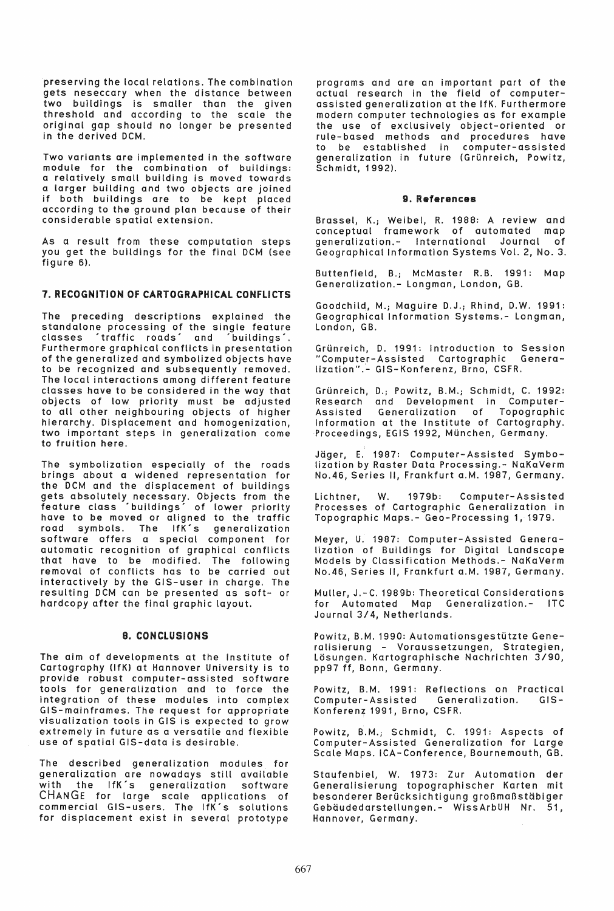preserving the local relations. The combination gets neseccary when the distance between two buildings is smaller than the given threshold and according to the scale the original gap should no longer be presented in the derived DCM.

Two variants are implemented in the software module for the combination of buildings: a relatively small building is moved towards a larger building and two objects are joined if both buildings are to be kept placed according to the ground plan because of their considerable spatial extension.

As a result from these computation steps you get the buildings for the final DCM (see figure 6).

# 7. RECOGNITION Of CARTOGRAPHICAl CONfLICTS

The preceding descriptions explained the standalone processing of the single feature classes • traffic roads' and ' buildings', Furthermore graphical conflicts in presentation of the generalized and symbolized objects have to be recognized and subsequently removed. The local interactions among different feature classes have to be considered in the way that objects of low priority must be adjusted to all other neighbouring objects of higher hierarchy. Displacement and homogenization, two important steps in generalization come to fruition here.

The symbolization especially of the roads brings about a widened representation for the DCM and the displacement of buildings gets absolutely necessary. Objects from the feature class 'buildings' of lower priority have to be moved or aligned to the traffic road symbols. The IfK´s generalization software offers a special component for automatic recognition of graphical conflicts that have to be modified. The following removal of conflicts has to be carried out interactively by the GIS-user in charge. The resulting DCM can be presented as soft- or hardcopy after the final graphic layout.

# 8. CONCLUSIONS

The aim of developments at the Institute of Cartography (lfK) at Hannover University is to provide robust computer-assisted software tools for generalization and to force the integration of these modules into complex GIS-mainframes. The request for appropriate visualization tools in GIS is expected to grow extremely in future as a versatile and flexible use of spatial GIS-data is desirable.

The described generalization modules for generalization are nowadays still available with the IfK's generalization software CHANGE for large scale applications of commercial GIS-users. The IfK's solutions for displacement exist in several prototype programs and are an important part of the actual research in the field of computerassisted generalization at the IfK. Furthermore modern computer technologies as for example the use of exclusively object-oriented or rule-based methods and procedures have to be established in computer-assisted generalization in future (Grunreich, Powitz, Schmidt, 1992),

### 9. References

Brassel, K.; Weibel, R. 1988: A review and conceptual framework of automated map generalization.- International Journal of Geographical Information Systems Vol. 2, No.3.

Buttenfield, B.; McMaster R.B. 1991: Map Generalization.- longman, london, GB.

Goodchild, M.; Maguire D.J.; Rhind, D.W. 1991: Geographical Information Systems.- longman, london, GB.

Grünreich, D. 1991: Introduction to Session "Computer-Assisted Cartographic Generalization".- GIS-Konferenz, Brno, CSFR.

Grunreich, D.; Powitz, B.M.; Schmidt, C. 1992: Research and Development in Computer-Assisted Generalization of Topographic Assisted Generalization of Topographic<br>Information at the Institute of Cartography. Proceedings, EGIS 1992, Munchen, Germany.

Jager, E. 1987: Computer-Assisted Symbolization by Raster Data Processing.- NaKaVerm No.46, Series II, Frankfurt a.M. 1987, Germany.

lichtner, W. 1979b: Computer-Assisted Processes of Cartographic Generalization in Topographic Maps.- Geo-Processing 1,1979.

Meyer, U. 1987: Computer-Assisted Generalization of Buildings for Digital landscape Models by Classification Methods.- NaKaVerm No.46, Series II, Frankfurt a.M. 1987, Germany.

Muller, J.-C. 1989b: Theoretical Considerations for Automated Map Generalization.- ITC Journal 3/4, Netherlands.

Powitz, B.M. 1990: Automationsgestutzte Generalisierung - Voraussetzungen, Strategien, losungen. Kartographische Nachrichten *3/90,*  pp97 *tt,* Bonn, Germany.

Powitz, B.M. 1991: Reflections on Practical Computer-Assisted Generalization. GIS-Konferenz 1991, Brno, CSFR.

Powitz, B.M.; Schmidt, C. 1991: Aspects of Computer-Assisted Generalization for large Scale Maps. ICA-Conference, Bournemouth, GB.

Staufenbiel, W. 1973: Zur Automation der Generalisierung topographischer Karten mit besonderer BerUcksichtigung groBmaBstabiger Gebäudedarstellungen.- WissArbUH Nr. 51, Hannover, Germany.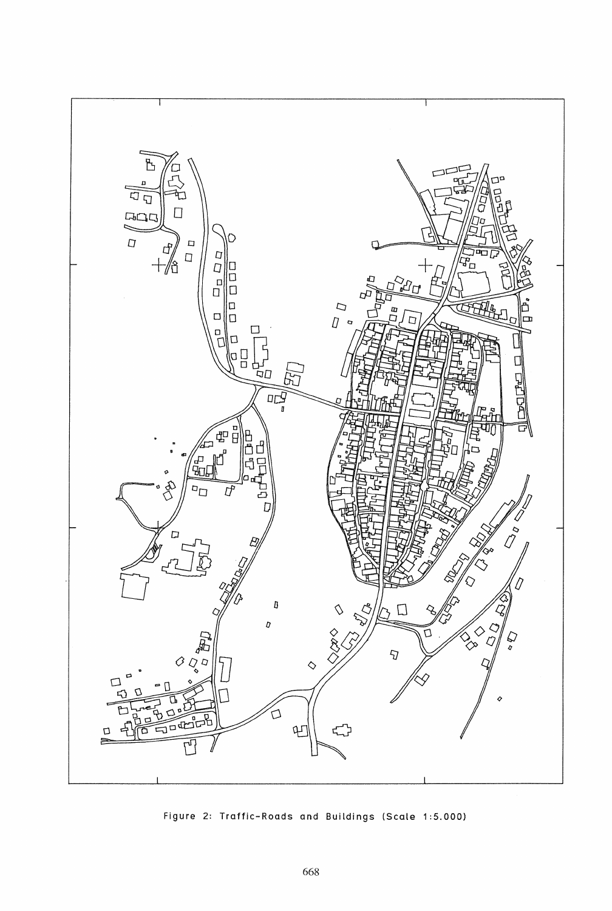

Figure 2: Traffic-Roads and Buildings (Scale 1:5.000)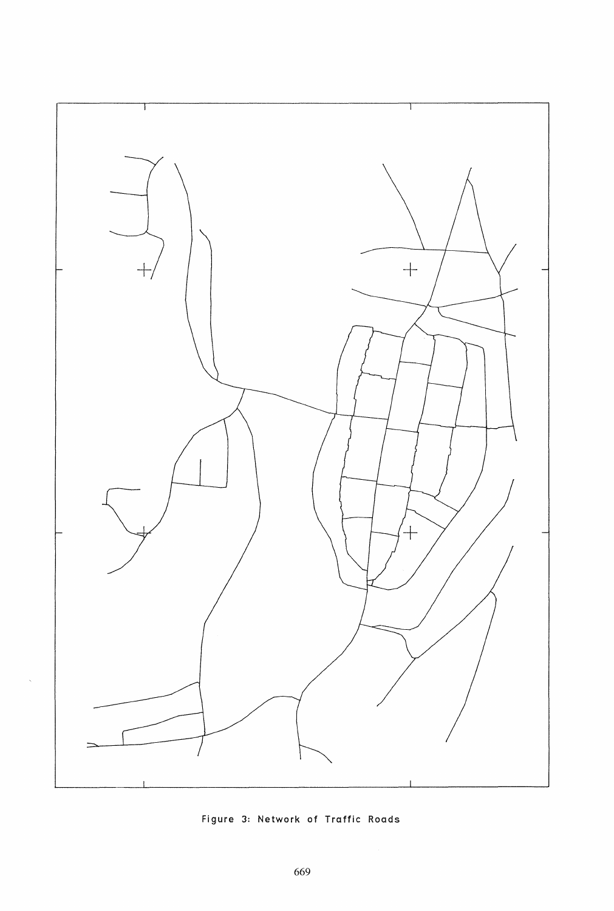

Figure 3: Network of Traffic Roads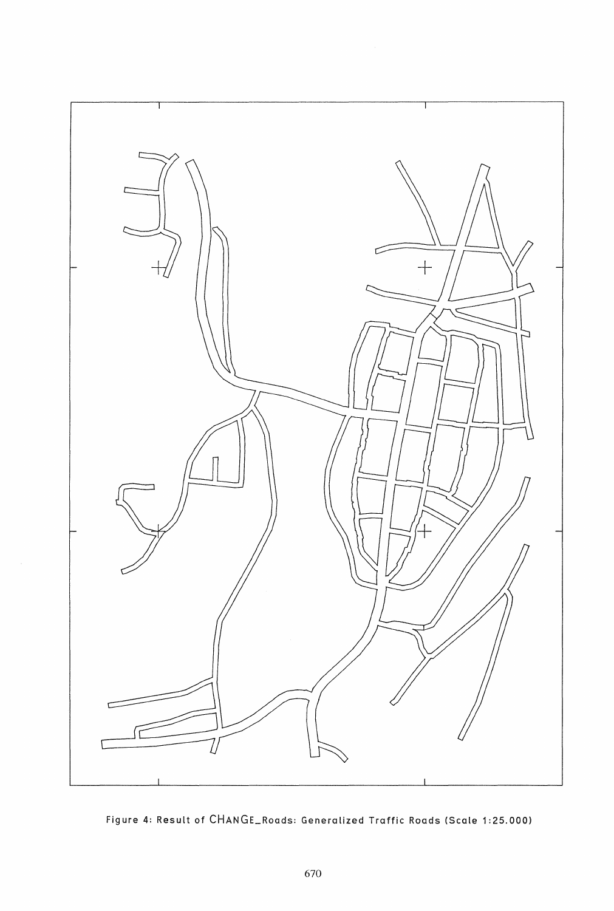

Figure 4: Result of CHANGE\_Roads: Generalized Traffic Roads (Scale 1:25.000)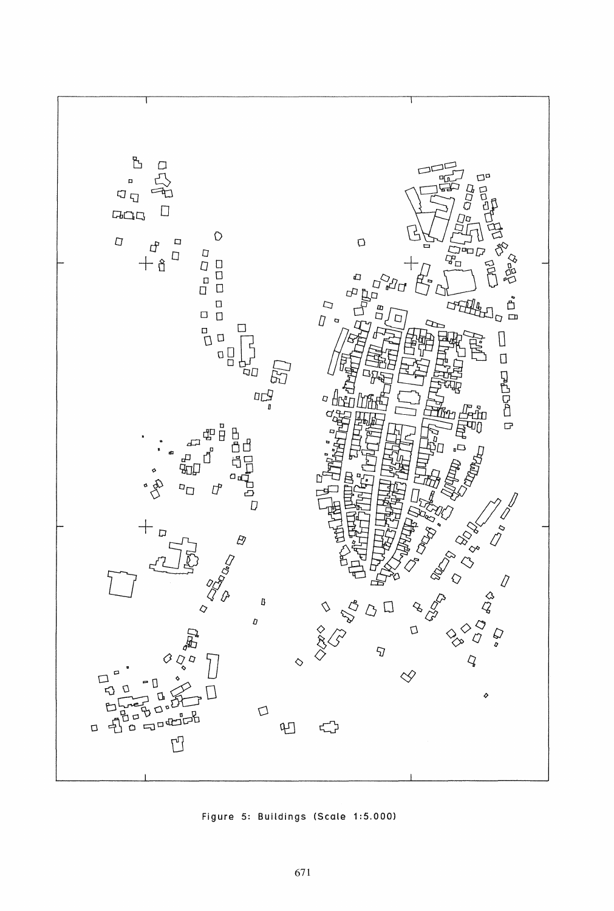

Figure 5: Buildings (Scale 1:5.000)